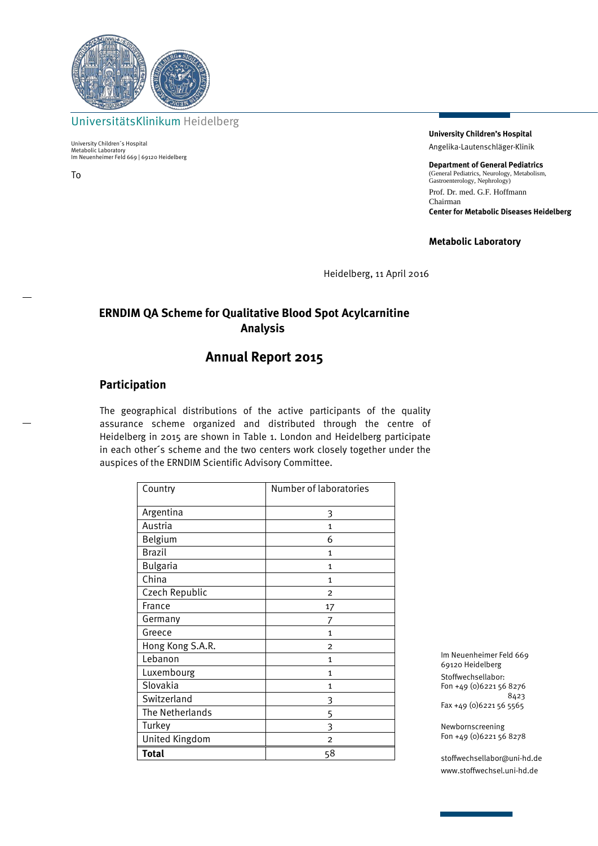

UniversitätsKlinikum Heidelberg

University Children´s Hospital Metabolic Laboratory Im Neuenheimer Feld 669 | 69120 Heidelberg

To

**University Children's Hospital** Angelika-Lautenschläger-Klinik

**Department of General Pediatrics** (General Pediatrics, Neurology, Metabolism, Gastroenterology, Nephrology) Prof. Dr. med. G.F. Hoffmann Chairman **Center for Metabolic Diseases Heidelberg**

**Metabolic Laboratory**

Heidelberg, 11 April 2016

## **ERNDIM QA Scheme for Qualitative Blood Spot Acylcarnitine Analysis**

# **Annual Report 2015**

### **Participation**

The geographical distributions of the active participants of the quality assurance scheme organized and distributed through the centre of Heidelberg in 2015 are shown in Table 1. London and Heidelberg participate in each other´s scheme and the two centers work closely together under the auspices of the ERNDIM Scientific Advisory Committee.

| Country          | Number of laboratories |
|------------------|------------------------|
| Argentina        | 3                      |
| Austria          | $\mathbf{1}$           |
| Belgium          | 6                      |
| <b>Brazil</b>    | 1                      |
| <b>Bulgaria</b>  | 1                      |
| China            | $\mathbf{1}$           |
| Czech Republic   | $\overline{2}$         |
| France           | 17                     |
| Germany          | 7                      |
| Greece           | 1                      |
| Hong Kong S.A.R. | $\overline{2}$         |
| Lebanon          | $\mathbf{1}$           |
| Luxembourg       | $\mathbf{1}$           |
| Slovakia         | $\mathbf{1}$           |
| Switzerland      | 3                      |
| The Netherlands  | 5                      |
| Turkey           | 3                      |
| United Kingdom   | $\overline{2}$         |
| <b>Total</b>     | 58                     |

Im Neuenheimer Feld 669 69120 Heidelberg Stoffwechsellabor: Fon +49 (0)6221 56 8276 8423 Fax +49 (0)6221 56 5565

Newbornscreening Fon +49 (0)6221 56 8278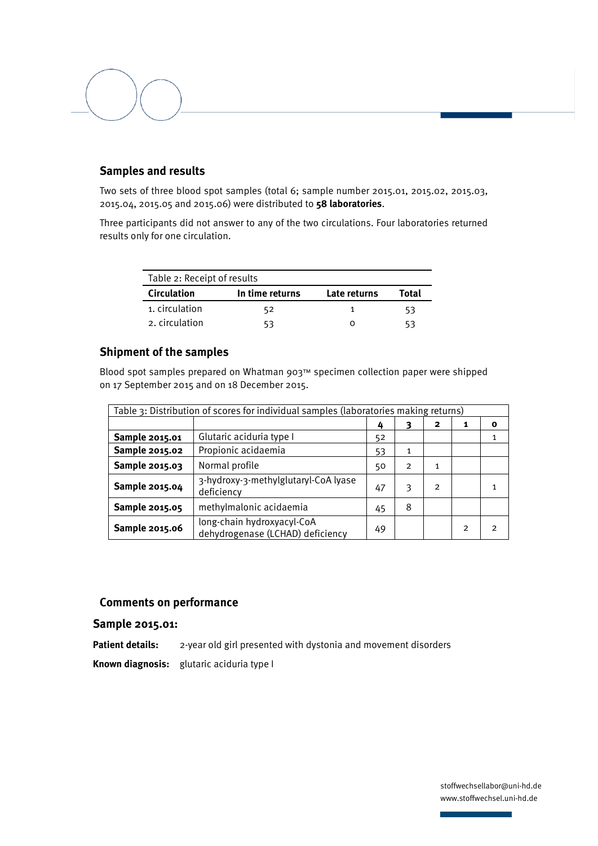## **Samples and results**

Two sets of three blood spot samples (total 6; sample number 2015.01, 2015.02, 2015.03, 2015.04, 2015.05 and 2015.06) were distributed to **58 laboratories**.

Three participants did not answer to any of the two circulations. Four laboratories returned results only for one circulation.

|                    | Table 2: Receipt of results |              |       |  |
|--------------------|-----------------------------|--------------|-------|--|
| <b>Circulation</b> | In time returns             | Late returns | Total |  |
| 1. circulation     | 52                          |              | 53    |  |
| 2. circulation     |                             |              | 53    |  |

#### **Shipment of the samples**

Blood spot samples prepared on Whatman 903™ specimen collection paper were shipped on 17 September 2015 and on 18 December 2015.

| Table 3: Distribution of scores for individual samples (laboratories making returns) |                                                                |    |                |                |   |   |
|--------------------------------------------------------------------------------------|----------------------------------------------------------------|----|----------------|----------------|---|---|
|                                                                                      |                                                                | 4  | 3              | 2              | 1 | 0 |
| Sample 2015.01                                                                       | Glutaric aciduria type I                                       | 52 |                |                |   |   |
| Sample 2015.02                                                                       | Propionic acidaemia                                            | 53 | 1              |                |   |   |
| Sample 2015.03                                                                       | Normal profile                                                 | 50 | $\overline{2}$ | 1              |   |   |
| Sample 2015.04                                                                       | 3-hydroxy-3-methylglutaryl-CoA lyase<br>deficiency             | 47 | 3              | $\overline{2}$ |   |   |
| Sample 2015.05                                                                       | methylmalonic acidaemia                                        | 45 | 8              |                |   |   |
| Sample 2015.06                                                                       | long-chain hydroxyacyl-CoA<br>dehydrogenase (LCHAD) deficiency | 49 |                |                | 2 | 2 |

## **Comments on performance**

#### **Sample 2015.01:**

**Patient details:** 2-year old girl presented with dystonia and movement disorders **Known diagnosis:** glutaric aciduria type I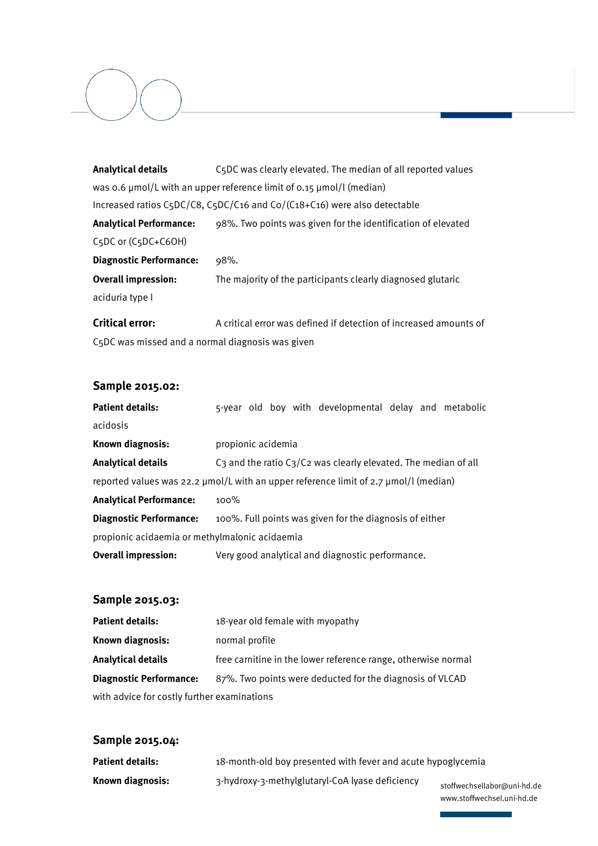| <b>Analytical details</b>                        | C5DC was clearly elevated. The median of all reported values                         |  |  |
|--------------------------------------------------|--------------------------------------------------------------------------------------|--|--|
|                                                  | was 0.6 µmol/L with an upper reference limit of 0.15 µmol/l (median)                 |  |  |
|                                                  | Increased ratios C5DC/C8, C5DC/C16 and Co/(C18+C16) were also detectable             |  |  |
| <b>Analytical Performance:</b>                   | 98%. Two points was given for the identification of elevated                         |  |  |
| C5DC or (C5DC+C6OH)                              |                                                                                      |  |  |
| <b>Diagnostic Performance:</b>                   | 98%.                                                                                 |  |  |
| <b>Overall impression:</b>                       | The majority of the participants clearly diagnosed glutaric                          |  |  |
| aciduria type I                                  |                                                                                      |  |  |
| <b>Critical error:</b>                           | A critical error was defined if detection of increased amounts of                    |  |  |
| C5DC was missed and a normal diagnosis was given |                                                                                      |  |  |
|                                                  |                                                                                      |  |  |
| Sample 2015.02:                                  |                                                                                      |  |  |
| <b>Patient details:</b>                          | 5-year old boy with developmental delay and metabolic                                |  |  |
| acidosis                                         |                                                                                      |  |  |
| Known diagnosis:                                 | propionic acidemia                                                                   |  |  |
| <b>Analytical details</b>                        | C3 and the ratio C3/C2 was clearly elevated. The median of all                       |  |  |
|                                                  | reported values was 22.2 µmol/L with an upper reference limit of 2.7 µmol/l (median) |  |  |
| <b>Analytical Performance:</b>                   | 100%                                                                                 |  |  |
| <b>Diagnostic Performance:</b>                   | 100%. Full points was given for the diagnosis of either                              |  |  |
| propionic acidaemia or methylmalonic acidaemia   |                                                                                      |  |  |
| <b>Overall impression:</b>                       | Very good analytical and diagnostic performance.                                     |  |  |
|                                                  |                                                                                      |  |  |
| Sample 2015.03:                                  |                                                                                      |  |  |
|                                                  |                                                                                      |  |  |

| <b>Patient details:</b>                                                                    | 18-year old female with myopathy                              |  |  |
|--------------------------------------------------------------------------------------------|---------------------------------------------------------------|--|--|
| Known diagnosis:                                                                           | normal profile                                                |  |  |
| <b>Analytical details</b>                                                                  | free carnitine in the lower reference range, otherwise normal |  |  |
| 87%. Two points were deducted for the diagnosis of VLCAD<br><b>Diagnostic Performance:</b> |                                                               |  |  |
| with advice for costly further examinations                                                |                                                               |  |  |

# **Sample 2015.04:**

| Patient details: | 18-month-old boy presented with fever and acute hypoglycemia |                  |
|------------------|--------------------------------------------------------------|------------------|
| Known diagnosis: | 3-hydroxy-3-methylglutaryl-CoA lyase deficiency              | stoffwechsellabo |

or@uni-hd.de www.stoffwechsel.uni-hd.de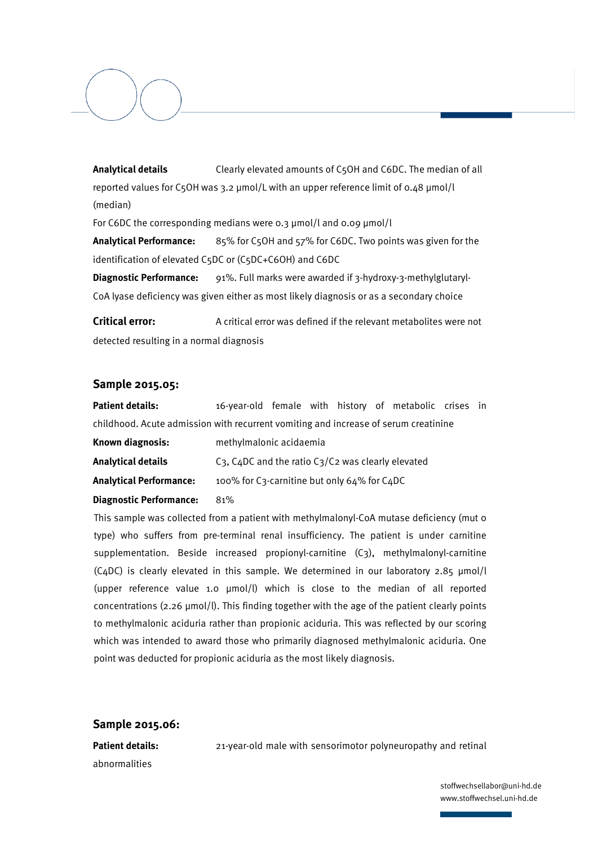**Analytical details** Clearly elevated amounts of C5OH and C6DC. The median of all reported values for C5OH was 3.2 µmol/L with an upper reference limit of 0.48 µmol/l (median)

For C6DC the corresponding medians were 0.3 µmol/l and 0.09 µmol/l

**Analytical Performance:** 85% for C5OH and 57% for C6DC. Two points was given for the identification of elevated C5DC or (C5DC+C6OH) and C6DC

**Diagnostic Performance:** 91%. Full marks were awarded if 3-hydroxy-3-methylglutaryl-CoA lyase deficiency was given either as most likely diagnosis or as a secondary choice

**Critical error:** A critical error was defined if the relevant metabolites were not detected resulting in a normal diagnosis

#### **Sample 2015.05:**

**Patient details:** 16-year-old female with history of metabolic crises in childhood. Acute admission with recurrent vomiting and increase of serum creatinine

| Known diagnosis:               | methylmalonic acidaemia                                      |  |  |
|--------------------------------|--------------------------------------------------------------|--|--|
| <b>Analytical details</b>      | $C_3$ , $C_4DC$ and the ratio $C_3/C_2$ was clearly elevated |  |  |
| <b>Analytical Performance:</b> | 100% for C3-carnitine but only 64% for C4DC                  |  |  |

#### **Diagnostic Performance:** 81%

This sample was collected from a patient with methylmalonyl-CoA mutase deficiency (mut 0 type) who suffers from pre-terminal renal insufficiency. The patient is under carnitine supplementation. Beside increased propionyl-carnitine (C3), methylmalonyl-carnitine (C4DC) is clearly elevated in this sample. We determined in our laboratory  $2.85 \mu m o l/l$ (upper reference value 1.0 µmol/l) which is close to the median of all reported concentrations ( $2.26 \mu$ mol/l). This finding together with the age of the patient clearly points to methylmalonic aciduria rather than propionic aciduria. This was reflected by our scoring which was intended to award those who primarily diagnosed methylmalonic aciduria. One point was deducted for propionic aciduria as the most likely diagnosis.

#### **Sample 2015.06:**

abnormalities

**Patient details:** 21-year-old male with sensorimotor polyneuropathy and retinal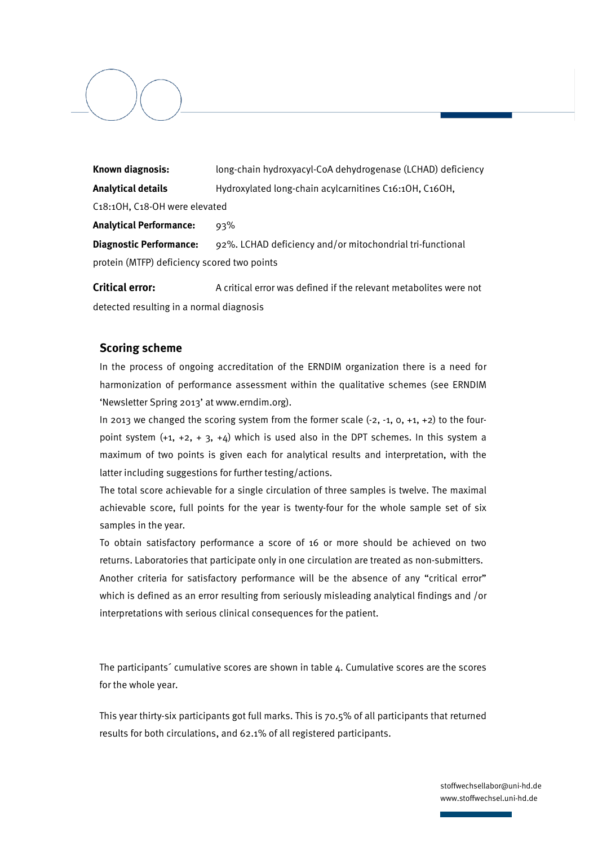**Known diagnosis:** long-chain hydroxyacyl-CoA dehydrogenase (LCHAD) deficiency **Analytical details** Hydroxylated long-chain acylcarnitines C16:1OH, C16OH, C18:1OH, C18-OH were elevated **Analytical Performance:** 93% **Diagnostic Performance:** 92%. LCHAD deficiency and/or mitochondrial tri-functional protein (MTFP) deficiency scored two points

**Critical error:** A critical error was defined if the relevant metabolites were not detected resulting in a normal diagnosis

#### **Scoring scheme**

In the process of ongoing accreditation of the ERNDIM organization there is a need for harmonization of performance assessment within the qualitative schemes (see ERNDIM 'Newsletter Spring 2013' at www.erndim.org).

In 2013 we changed the scoring system from the former scale  $(-2, -1, 0, +1, +2)$  to the fourpoint system  $(+1, +2, +3, +4)$  which is used also in the DPT schemes. In this system a maximum of two points is given each for analytical results and interpretation, with the latter including suggestions for further testing/actions.

The total score achievable for a single circulation of three samples is twelve. The maximal achievable score, full points for the year is twenty-four for the whole sample set of six samples in the year.

To obtain satisfactory performance a score of 16 or more should be achieved on two returns. Laboratories that participate only in one circulation are treated as non-submitters. Another criteria for satisfactory performance will be the absence of any "critical error" which is defined as an error resulting from seriously misleading analytical findings and /or interpretations with serious clinical consequences for the patient.

The participants´ cumulative scores are shown in table 4. Cumulative scores are the scores for the whole year.

This year thirty-six participants got full marks. This is 70.5% of all participants that returned results for both circulations, and 62.1% of all registered participants.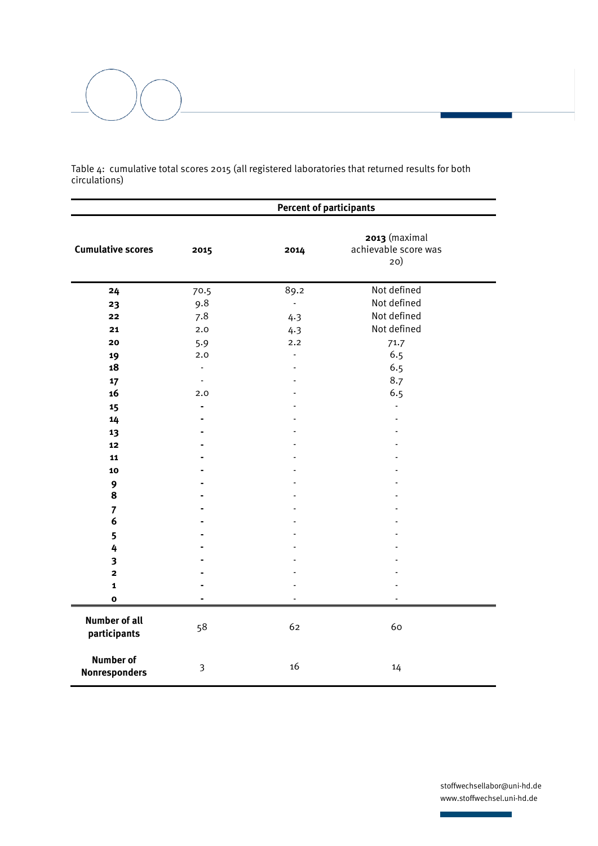

Table 4: cumulative total scores 2015 (all registered laboratories that returned results for both circulations)

|                                          | <b>Percent of participants</b> |                          |                                              |
|------------------------------------------|--------------------------------|--------------------------|----------------------------------------------|
| <b>Cumulative scores</b>                 | 2015                           | 2014                     | 2013 (maximal<br>achievable score was<br>20) |
| 24                                       | 70.5                           | 89.2                     | Not defined                                  |
| 23                                       | 9.8                            | $\overline{\phantom{a}}$ | Not defined                                  |
| 22                                       | 7.8                            | 4.3                      | Not defined                                  |
| 21                                       | 2.0                            | 4.3                      | Not defined                                  |
| 20                                       | 5.9                            | 2.2                      | 71.7                                         |
| 19                                       | 2.0                            | $\overline{\phantom{a}}$ | 6.5                                          |
| 18                                       | $\overline{\phantom{a}}$       | $\overline{a}$           | 6.5                                          |
| 17                                       | $\overline{\phantom{a}}$       | $\overline{a}$           | 8.7                                          |
| 16                                       | 2.0                            |                          | 6.5                                          |
| 15                                       | $\blacksquare$                 |                          |                                              |
| 14                                       | ä,                             |                          |                                              |
| 13                                       |                                |                          |                                              |
| 12                                       |                                |                          |                                              |
| 11                                       |                                |                          |                                              |
| 10                                       |                                |                          |                                              |
| 9                                        |                                |                          |                                              |
| 8                                        |                                |                          |                                              |
| $\overline{7}$                           |                                |                          |                                              |
| 6                                        |                                |                          |                                              |
| 5                                        |                                |                          |                                              |
| 4                                        |                                |                          |                                              |
| 3                                        |                                |                          |                                              |
| $\overline{\mathbf{c}}$                  |                                |                          |                                              |
| $\mathbf{1}$                             |                                |                          |                                              |
| $\mathbf{o}$                             |                                |                          |                                              |
| <b>Number of all</b><br>participants     | 58                             | 62                       | 60                                           |
| <b>Number of</b><br><b>Nonresponders</b> | 3                              | 16                       | 14                                           |